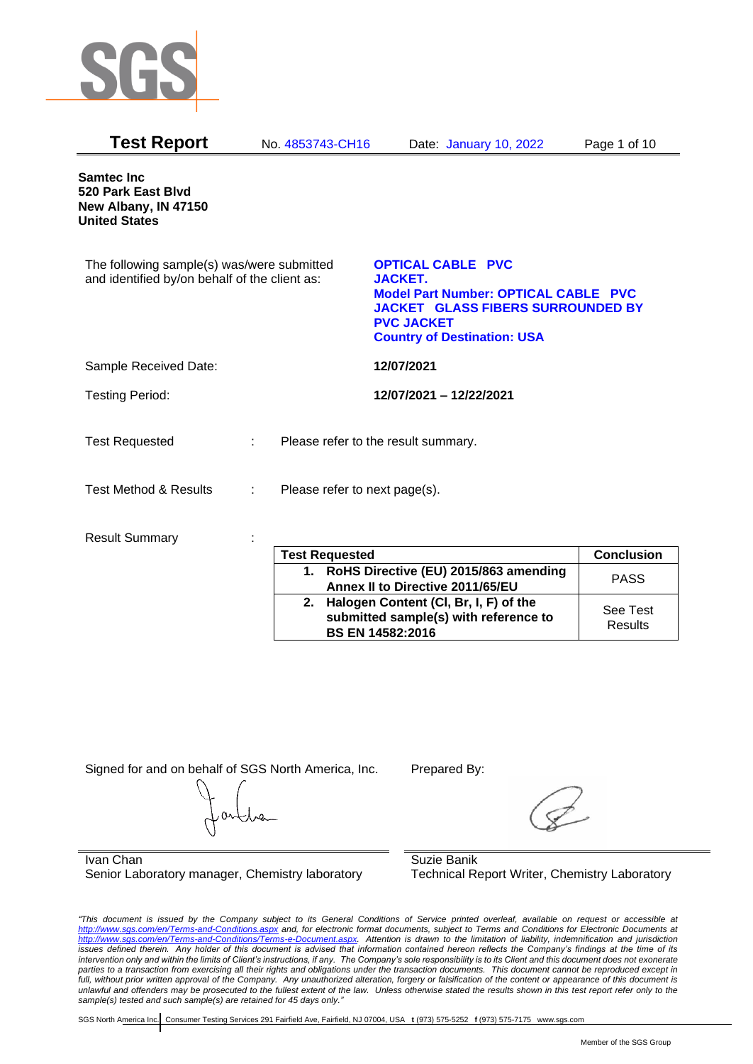

| <b>Test Report</b>                                                                          | No. 4853743-CH16                   | Date: January 10, 2022                                                                                                                                                                           | Page 1 of 10      |
|---------------------------------------------------------------------------------------------|------------------------------------|--------------------------------------------------------------------------------------------------------------------------------------------------------------------------------------------------|-------------------|
| <b>Samtec Inc</b><br>520 Park East Blvd<br>New Albany, IN 47150<br><b>United States</b>     |                                    |                                                                                                                                                                                                  |                   |
| The following sample(s) was/were submitted<br>and identified by/on behalf of the client as: |                                    | <b>OPTICAL CABLE PVC</b><br><b>JACKET.</b><br><b>Model Part Number: OPTICAL CABLE PVC</b><br><b>JACKET GLASS FIBERS SURROUNDED BY</b><br><b>PVC JACKET</b><br><b>Country of Destination: USA</b> |                   |
| Sample Received Date:                                                                       |                                    | 12/07/2021                                                                                                                                                                                       |                   |
| <b>Testing Period:</b>                                                                      |                                    | 12/07/2021 - 12/22/2021                                                                                                                                                                          |                   |
| <b>Test Requested</b>                                                                       | ÷.                                 | Please refer to the result summary.                                                                                                                                                              |                   |
| <b>Test Method &amp; Results</b>                                                            | Please refer to next page(s).<br>÷ |                                                                                                                                                                                                  |                   |
| <b>Result Summary</b>                                                                       |                                    |                                                                                                                                                                                                  |                   |
|                                                                                             | <b>Test Requested</b>              |                                                                                                                                                                                                  | <b>Conclusion</b> |
|                                                                                             |                                    | 1. RoHS Directive (EU) 2015/863 amending<br>Annex II to Directive 2011/65/EU                                                                                                                     | <b>PASS</b>       |

Signed for and on behalf of SGS North America, Inc. Prepared By:

**2. Halogen Content (Cl, Br, I, F) of the submitted sample(s) with reference to** 

**BS EN 14582:2016**

Ivan Chan Senior Laboratory manager, Chemistry laboratory

Suzie Banik Technical Report Writer, Chemistry Laboratory

*"This document is issued by the Company subject to its General Conditions of Service printed overleaf, available on request or accessible at <http://www.sgs.com/en/Terms-and-Conditions.aspx> and, for electronic format documents, subject to Terms and Conditions for Electronic Documents at [http://www.sgs.com/en/Terms-and-Conditions/Terms-e-Document.aspx.](http://www.sgs.com/en/Terms-and-Conditions/Terms-e-Document.aspx) Attention is drawn to the limitation of liability, indemnification and jurisdiction issues defined therein. Any holder of this document is advised that information contained hereon reflects the Company's findings at the time of its intervention only and within the limits of Client's instructions, if any. The Company's sole responsibility is to its Client and this document does not exonerate parties to a transaction from exercising all their rights and obligations under the transaction documents. This document cannot be reproduced except in full, without prior written approval of the Company. Any unauthorized alteration, forgery or falsification of the content or appearance of this document is unlawful and offenders may be prosecuted to the fullest extent of the law. Unless otherwise stated the results shown in this test report refer only to the sample(s) tested and such sample(s) are retained for 45 days only."* 

SGS North America Inc. Consumer Testing Services 291 Fairfield Ave, Fairfield, NJ 07004, USA **t** (973) 575-5252 **f** (973) 575-7175 www.sgs.com

See Test Results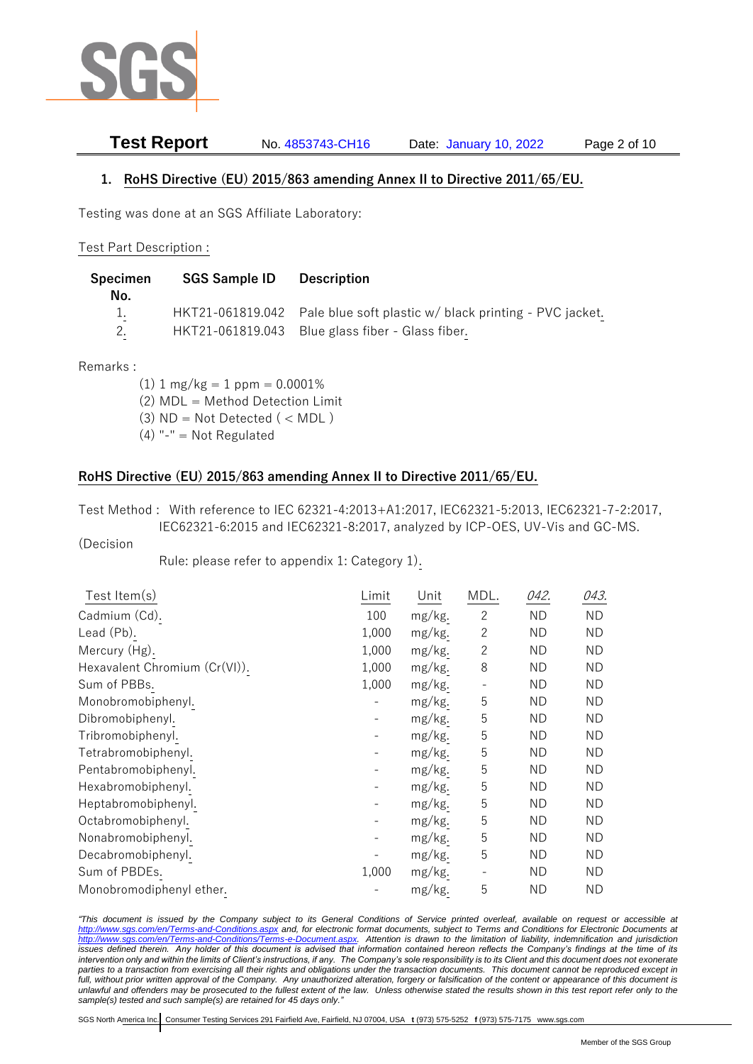

# **Test Report** No. 4853743-CH16 Date: January 10, 2022 Page 2 of 10

## **1. RoHS Directive (EU) 2015/863 amending Annex II to Directive 2011/65/EU.**

Testing was done at an SGS Affiliate Laboratory:

#### Test Part Description :

| Specimen<br>No. | <b>SGS Sample ID</b> | <b>Description</b>                                                      |
|-----------------|----------------------|-------------------------------------------------------------------------|
| $\sim$          |                      | HKT21-061819.042 Pale blue soft plastic w/ black printing - PVC jacket. |
|                 |                      | HKT21-061819.043 Blue glass fiber - Glass fiber.                        |

Remarks :

 $(1)$  1 mg/kg = 1 ppm = 0.0001%

- (2) MDL = Method Detection Limit
- $(3)$  ND = Not Detected  $($  < MDL)
- $(4)$  "-" = Not Regulated

#### **RoHS Directive (EU) 2015/863 amending Annex II to Directive 2011/65/EU.**

Test Method : With reference to IEC 62321-4:2013+A1:2017, IEC62321-5:2013, IEC62321-7-2:2017, IEC62321-6:2015 and IEC62321-8:2017, analyzed by ICP-OES, UV-Vis and GC-MS.

#### (Decision

Rule: please refer to appendix 1: Category 1).

| Limit                    | Unit   | MDL.                     | 042.      | 043. |
|--------------------------|--------|--------------------------|-----------|------|
| 100                      | mg/kg. | $\mathbf{2}$             | ND.       | ΝD   |
| 1,000                    | mg/kg. | $\overline{2}$           | <b>ND</b> | ΝD   |
| 1,000                    | mg/kg. | $\overline{c}$           | <b>ND</b> | ΝD   |
| 1,000                    | mg/kg. | 8                        | <b>ND</b> | ΝD   |
| 1,000                    | mg/kg. |                          | <b>ND</b> | ND.  |
|                          | mg/kg. | 5                        | <b>ND</b> | ND.  |
| $\overline{\phantom{a}}$ | mg/kg. | 5                        | <b>ND</b> | ND   |
| $\overline{\phantom{a}}$ | mg/kg. | 5                        | <b>ND</b> | ND.  |
| $\overline{\phantom{a}}$ | mg/kg. | 5                        | <b>ND</b> | ΝD   |
| $\overline{\phantom{a}}$ | mg/kg. | 5                        | <b>ND</b> | ND.  |
| $\overline{\phantom{a}}$ | mg/kg. | 5                        | <b>ND</b> | ΝD   |
| $\overline{\phantom{a}}$ | mg/kg. | 5                        | <b>ND</b> | ΝD   |
| $\overline{\phantom{a}}$ | mg/kg. | 5                        | <b>ND</b> | ΝD   |
| $\overline{\phantom{a}}$ | mg/kg. | 5                        | <b>ND</b> | ΝD   |
|                          | mg/kg. | 5                        | <b>ND</b> | ΝD   |
| 1,000                    | mg/kg. | $\overline{\phantom{a}}$ | <b>ND</b> | ΝD   |
|                          | mg/kg. | 5                        | <b>ND</b> | ΝD   |
|                          |        |                          |           |      |

*"This document is issued by the Company subject to its General Conditions of Service printed overleaf, available on request or accessible at <http://www.sgs.com/en/Terms-and-Conditions.aspx> and, for electronic format documents, subject to Terms and Conditions for Electronic Documents at [http://www.sgs.com/en/Terms-and-Conditions/Terms-e-Document.aspx.](http://www.sgs.com/en/Terms-and-Conditions/Terms-e-Document.aspx) Attention is drawn to the limitation of liability, indemnification and jurisdiction issues defined therein. Any holder of this document is advised that information contained hereon reflects the Company's findings at the time of its intervention only and within the limits of Client's instructions, if any. The Company's sole responsibility is to its Client and this document does not exonerate parties to a transaction from exercising all their rights and obligations under the transaction documents. This document cannot be reproduced except in full, without prior written approval of the Company. Any unauthorized alteration, forgery or falsification of the content or appearance of this document is unlawful and offenders may be prosecuted to the fullest extent of the law. Unless otherwise stated the results shown in this test report refer only to the sample(s) tested and such sample(s) are retained for 45 days only."*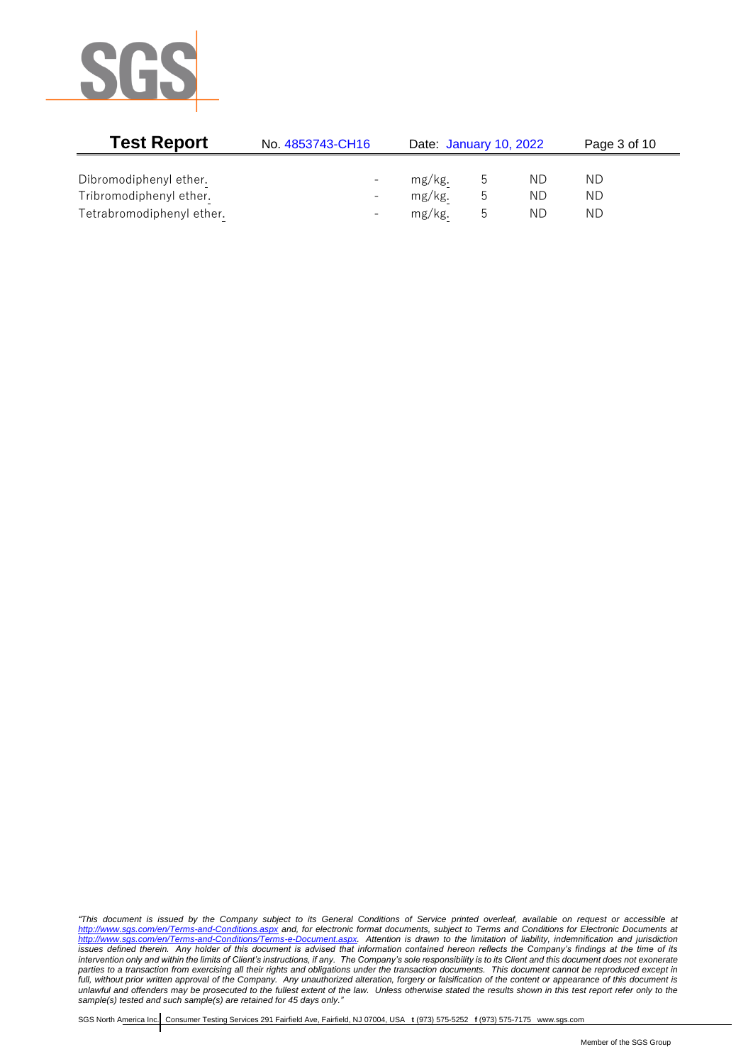

| <b>Test Report</b>        | No. 4853743-CH16         | Date: January 10, 2022 |   |    |    | Page 3 of 10 |  |
|---------------------------|--------------------------|------------------------|---|----|----|--------------|--|
|                           |                          |                        |   |    |    |              |  |
| Dibromodiphenyl ether.    | $\overline{\phantom{0}}$ | mg/kg.                 | C | ND | ND |              |  |
| Tribromodiphenyl ether.   | $\overline{\phantom{0}}$ | mg/kg.                 | b | ΝD | ΝD |              |  |
| Tetrabromodiphenyl ether. | $\overline{\phantom{0}}$ | mg/kg.                 | C | ΝD | ΝD |              |  |

*"This document is issued by the Company subject to its General Conditions of Service printed overleaf, available on request or accessible at <http://www.sgs.com/en/Terms-and-Conditions.aspx> and, for electronic format documents, subject to Terms and Conditions for Electronic Documents at [http://www.sgs.com/en/Terms-and-Conditions/Terms-e-Document.aspx.](http://www.sgs.com/en/Terms-and-Conditions/Terms-e-Document.aspx) Attention is drawn to the limitation of liability, indemnification and jurisdiction issues defined therein. Any holder of this document is advised that information contained hereon reflects the Company's findings at the time of its intervention only and within the limits of Client's instructions, if any. The Company's sole responsibility is to its Client and this document does not exonerate parties to a transaction from exercising all their rights and obligations under the transaction documents. This document cannot be reproduced except in full, without prior written approval of the Company. Any unauthorized alteration, forgery or falsification of the content or appearance of this document is unlawful and offenders may be prosecuted to the fullest extent of the law. Unless otherwise stated the results shown in this test report refer only to the sample(s) tested and such sample(s) are retained for 45 days only."*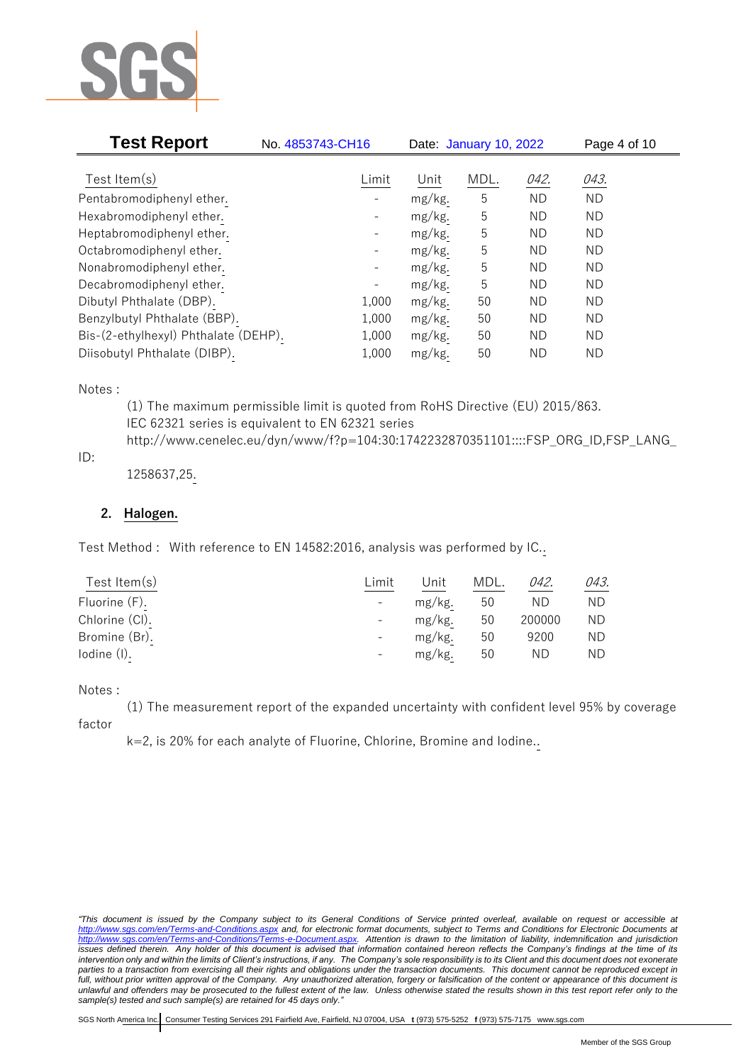

| <b>Test Report</b>                   | No. 4853743-CH16         | Date: January 10, 2022 |      |           | Page 4 of 10 |  |
|--------------------------------------|--------------------------|------------------------|------|-----------|--------------|--|
| Test Item $(s)$                      | Limit                    | Unit                   | MDL. | 042.      | 043.         |  |
| Pentabromodiphenyl ether.            |                          | mg/kg.                 | 5    | <b>ND</b> | <b>ND</b>    |  |
| Hexabromodiphenyl ether.             |                          | mg/kg.                 | 5    | <b>ND</b> | <b>ND</b>    |  |
| Heptabromodiphenyl ether.            | $\overline{\phantom{a}}$ | mg/kg.                 | 5    | ND.       | ND.          |  |
| Octabromodiphenyl ether.             | $\overline{\phantom{a}}$ | mg/kg.                 | 5    | ND.       | <b>ND</b>    |  |
| Nonabromodiphenyl ether.             | $\overline{\phantom{a}}$ | mg/kg.                 | 5    | ND.       | <b>ND</b>    |  |
| Decabromodiphenyl ether.             |                          | mg/kg.                 | 5    | <b>ND</b> | <b>ND</b>    |  |
| Dibutyl Phthalate (DBP).             | 1,000                    | mg/kg.                 | 50   | ΝD        | ND.          |  |
| Benzylbutyl Phthalate (BBP).         | 1,000                    | mg/kg.                 | 50   | ND.       | <b>ND</b>    |  |
| Bis-(2-ethylhexyl) Phthalate (DEHP). | 1,000                    | mg/kg.                 | 50   | ND.       | <b>ND</b>    |  |
| Diisobutyl Phthalate (DIBP).         | 1,000                    | mg/kg.                 | 50   | ΝD        | <b>ND</b>    |  |

Notes :

(1) The maximum permissible limit is quoted from RoHS Directive (EU) 2015/863. IEC 62321 series is equivalent to EN 62321 series http://www.cenelec.eu/dyn/www/f?p=104:30:1742232870351101::::FSP\_ORG\_ID,FSP\_LANG\_

## ID:

1258637,25.

## **2. Halogen.**

Test Method : With reference to EN 14582:2016, analysis was performed by IC..

| Test Item $(s)$ | ∟imit                    | Unit   | MDL. | 042.   | 043. |
|-----------------|--------------------------|--------|------|--------|------|
| Fluorine (F).   | $\overline{\phantom{a}}$ | mg/kg. | 50   | ND     | ND.  |
| Chlorine (CI).  | $\overline{\phantom{a}}$ | mg/kg. | 50   | 200000 | ND.  |
| Bromine (Br).   | $\overline{\phantom{a}}$ | mg/kg. | 50   | 9200   | ND.  |
| Iodine (I).     | $\overline{\phantom{a}}$ | mg/kg. | 50   | ND.    | ND.  |
|                 |                          |        |      |        |      |

#### Notes :

(1) The measurement report of the expanded uncertainty with confident level 95% by coverage

factor

k=2, is 20% for each analyte of Fluorine, Chlorine, Bromine and Iodine..

*<sup>&</sup>quot;This document is issued by the Company subject to its General Conditions of Service printed overleaf, available on request or accessible at <http://www.sgs.com/en/Terms-and-Conditions.aspx> and, for electronic format documents, subject to Terms and Conditions for Electronic Documents at [http://www.sgs.com/en/Terms-and-Conditions/Terms-e-Document.aspx.](http://www.sgs.com/en/Terms-and-Conditions/Terms-e-Document.aspx) Attention is drawn to the limitation of liability, indemnification and jurisdiction issues defined therein. Any holder of this document is advised that information contained hereon reflects the Company's findings at the time of its intervention only and within the limits of Client's instructions, if any. The Company's sole responsibility is to its Client and this document does not exonerate parties to a transaction from exercising all their rights and obligations under the transaction documents. This document cannot be reproduced except in full, without prior written approval of the Company. Any unauthorized alteration, forgery or falsification of the content or appearance of this document is unlawful and offenders may be prosecuted to the fullest extent of the law. Unless otherwise stated the results shown in this test report refer only to the sample(s) tested and such sample(s) are retained for 45 days only."*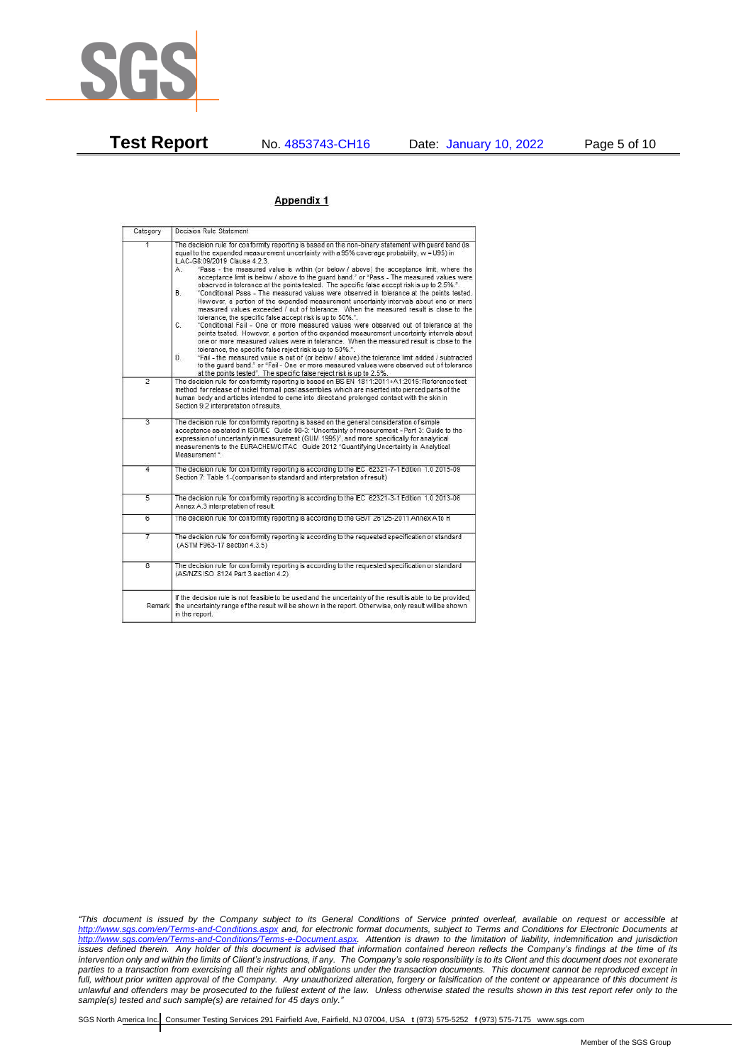

**Test Report** No. 4853743-CH16 Date: January 10, 2022 Page 5 of 10

#### Appendix 1

| Category       | Decision Rule Statement                                                                                                                                                                                                                                                                                                                                                                                                                                                                                                                                                                                                                                                                                                                                                                                                                                                                                                                                                                                                                                                                                                                                                                                                                                                                                                                                                                                                                                                                                           |
|----------------|-------------------------------------------------------------------------------------------------------------------------------------------------------------------------------------------------------------------------------------------------------------------------------------------------------------------------------------------------------------------------------------------------------------------------------------------------------------------------------------------------------------------------------------------------------------------------------------------------------------------------------------------------------------------------------------------------------------------------------------------------------------------------------------------------------------------------------------------------------------------------------------------------------------------------------------------------------------------------------------------------------------------------------------------------------------------------------------------------------------------------------------------------------------------------------------------------------------------------------------------------------------------------------------------------------------------------------------------------------------------------------------------------------------------------------------------------------------------------------------------------------------------|
| $\overline{1}$ | The decision rule for conformity reporting is based on the non-binary statement with quard band (is<br>equal to the expanded measurement uncertainty with a 95% coverage probability, w = U95) in<br>ILAC-G8:09/2019 Clause 4.2.3.<br>"Pass - the measured value is within (or below / above) the acceptance limit, where the<br>А.<br>acceptance limit is below / above to the quard band." or "Pass - The measured values were<br>observed in tolerance at the points tested. The specific false accept risk is up to 2.5%.".<br>B.<br>"Conditional Pass - The measured values were observed in tolerance at the points tested.<br>However, a portion of the expanded measurement uncertainty intervals about one or more<br>measured values exceeded / out of tolerance. When the measured result is close to the<br>tolerance, the specific false accept risk is up to 50%."<br>C.<br>"Conditional Fail - One or more measured values were observed out of tolerance at the<br>points tested. However, a portion of the expanded measurement uncertainty intervals about<br>one or more measured values were in tolerance. When the measured result is close to the<br>tolerance, the specific false reject risk is up to 50%.".<br>"Fail - the measured value is out of (or below / above) the tolerance limit added / subtracted<br>D.<br>to the quard band." or "Fail - One or more measured values were observed out of tolerance<br>at the points tested". The specific false reject risk is up to 2.5%. |
| $\overline{2}$ | The decision rule for conformity reporting is based on BS EN 1811:2011+A1:2015: Reference test<br>method for release of nickel from all post assemblies which are inserted into pierced parts of the<br>human body and articles intended to come into direct and prolonged contact with the skin in<br>Section 9.2 interpretation of results.                                                                                                                                                                                                                                                                                                                                                                                                                                                                                                                                                                                                                                                                                                                                                                                                                                                                                                                                                                                                                                                                                                                                                                     |
| $\overline{3}$ | The decision rule for conformity reporting is based on the general consideration of simple<br>acceptance as stated in ISO/IEC Guide 98-3: "Uncertainty of measurement - Part 3: Guide to the<br>expression of uncertainty in measurement (GUM 1995)", and more specifically for analytical<br>measurements to the EURACHEM/CITAC Guide 2012 "Quantifying Uncertainty in Analytical<br>Measurement *                                                                                                                                                                                                                                                                                                                                                                                                                                                                                                                                                                                                                                                                                                                                                                                                                                                                                                                                                                                                                                                                                                               |
| 4              | The decision rule for conformity reporting is according to the IEC 62321-7-1 Edition 1.0 2015-09<br>Section 7: Table 1-(comparison to standard and interpretation of result)                                                                                                                                                                                                                                                                                                                                                                                                                                                                                                                                                                                                                                                                                                                                                                                                                                                                                                                                                                                                                                                                                                                                                                                                                                                                                                                                      |
| $\overline{5}$ | The decision rule for conformity reporting is according to the IEC 62321-3-1 Edition 1.0 2013-06<br>Annex A.3 interpretation of result.                                                                                                                                                                                                                                                                                                                                                                                                                                                                                                                                                                                                                                                                                                                                                                                                                                                                                                                                                                                                                                                                                                                                                                                                                                                                                                                                                                           |
| 6              | The decision rule for conformity reporting is according to the GB/T 26125-2011 Annex A to H                                                                                                                                                                                                                                                                                                                                                                                                                                                                                                                                                                                                                                                                                                                                                                                                                                                                                                                                                                                                                                                                                                                                                                                                                                                                                                                                                                                                                       |
| 7              | The decision rule for conformity reporting is according to the requested specification or standard<br>(ASTM F963-17 section 4.3.5)                                                                                                                                                                                                                                                                                                                                                                                                                                                                                                                                                                                                                                                                                                                                                                                                                                                                                                                                                                                                                                                                                                                                                                                                                                                                                                                                                                                |
| $\overline{8}$ | The decision rule for conformity reporting is according to the requested specification or standard<br>(AS/NZS ISO 8124 Part 3 section 4.2)                                                                                                                                                                                                                                                                                                                                                                                                                                                                                                                                                                                                                                                                                                                                                                                                                                                                                                                                                                                                                                                                                                                                                                                                                                                                                                                                                                        |
|                | If the decision rule is not feasible to be used and the uncertainty of the result is able to be provided,<br>Remark the uncertainty range of the result will be shown in the report. Otherwise, only result will be shown<br>in the report.                                                                                                                                                                                                                                                                                                                                                                                                                                                                                                                                                                                                                                                                                                                                                                                                                                                                                                                                                                                                                                                                                                                                                                                                                                                                       |

*"This document is issued by the Company subject to its General Conditions of Service printed overleaf, available on request or accessible at <http://www.sgs.com/en/Terms-and-Conditions.aspx> and, for electronic format documents, subject to Terms and Conditions for Electronic Documents at [http://www.sgs.com/en/Terms-and-Conditions/Terms-e-Document.aspx.](http://www.sgs.com/en/Terms-and-Conditions/Terms-e-Document.aspx) Attention is drawn to the limitation of liability, indemnification and jurisdiction issues defined therein. Any holder of this document is advised that information contained hereon reflects the Company's findings at the time of its intervention only and within the limits of Client's instructions, if any. The Company's sole responsibility is to its Client and this document does not exonerate parties to a transaction from exercising all their rights and obligations under the transaction documents. This document cannot be reproduced except in full, without prior written approval of the Company. Any unauthorized alteration, forgery or falsification of the content or appearance of this document is unlawful and offenders may be prosecuted to the fullest extent of the law. Unless otherwise stated the results shown in this test report refer only to the sample(s) tested and such sample(s) are retained for 45 days only."*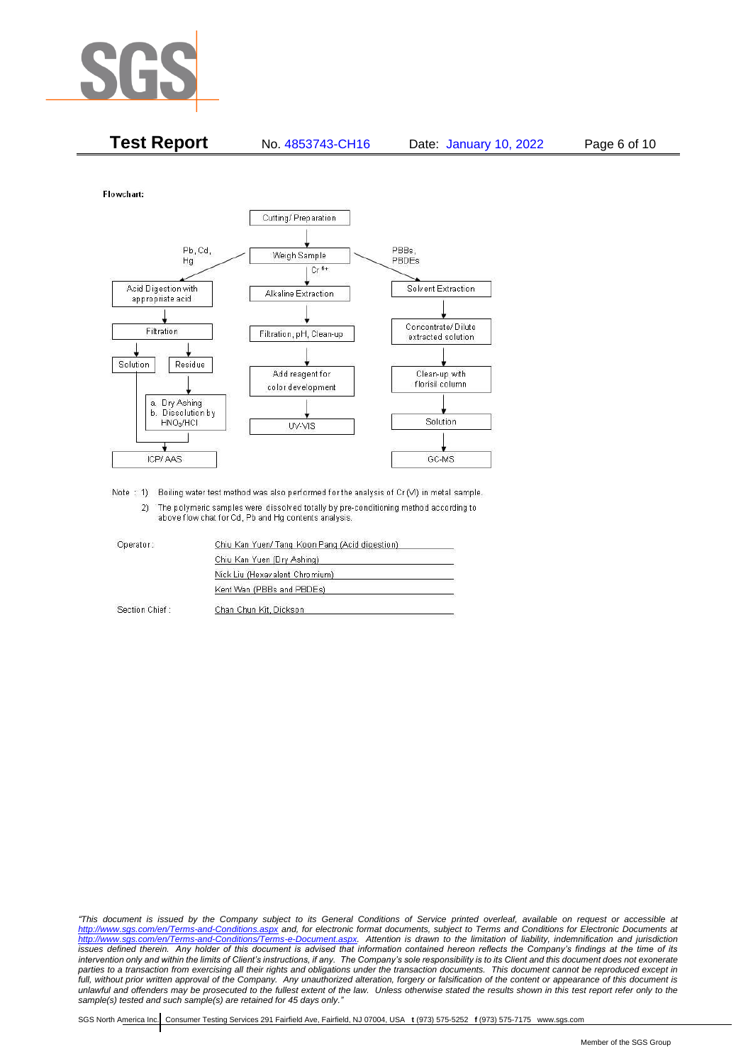

| <b>Test Report</b> | No. 4853743-CH16 | Date: January 10, 2022 | Page 6 of 10 |
|--------------------|------------------|------------------------|--------------|
|--------------------|------------------|------------------------|--------------|

Flowchart:



Note : 1) Boiling water test method was also performed for the analysis of Cr (VI) in metal sample. 2) The polymeric samples were dissolved totally by pre-conditioning method according to above flow chat for Cd, Pb and Hg contents analysis

| Operator:      | Chiu Kan Yuen/ Tang Koon Pang (Acid digestion) |
|----------------|------------------------------------------------|
|                | Chiu Kan Yuen (Dry Ashing)                     |
|                | Nick Liu (Hexavalent Chromium)                 |
|                | Kent Wan (PBBs and PBDEs)                      |
| Section Chief: | Chan Chun Kit, Dickson                         |

*"This document is issued by the Company subject to its General Conditions of Service printed overleaf, available on request or accessible at <http://www.sgs.com/en/Terms-and-Conditions.aspx> and, for electronic format documents, subject to Terms and Conditions for Electronic Documents at [http://www.sgs.com/en/Terms-and-Conditions/Terms-e-Document.aspx.](http://www.sgs.com/en/Terms-and-Conditions/Terms-e-Document.aspx) Attention is drawn to the limitation of liability, indemnification and jurisdiction issues defined therein. Any holder of this document is advised that information contained hereon reflects the Company's findings at the time of its intervention only and within the limits of Client's instructions, if any. The Company's sole responsibility is to its Client and this document does not exonerate parties to a transaction from exercising all their rights and obligations under the transaction documents. This document cannot be reproduced except in full, without prior written approval of the Company. Any unauthorized alteration, forgery or falsification of the content or appearance of this document is unlawful and offenders may be prosecuted to the fullest extent of the law. Unless otherwise stated the results shown in this test report refer only to the sample(s) tested and such sample(s) are retained for 45 days only."*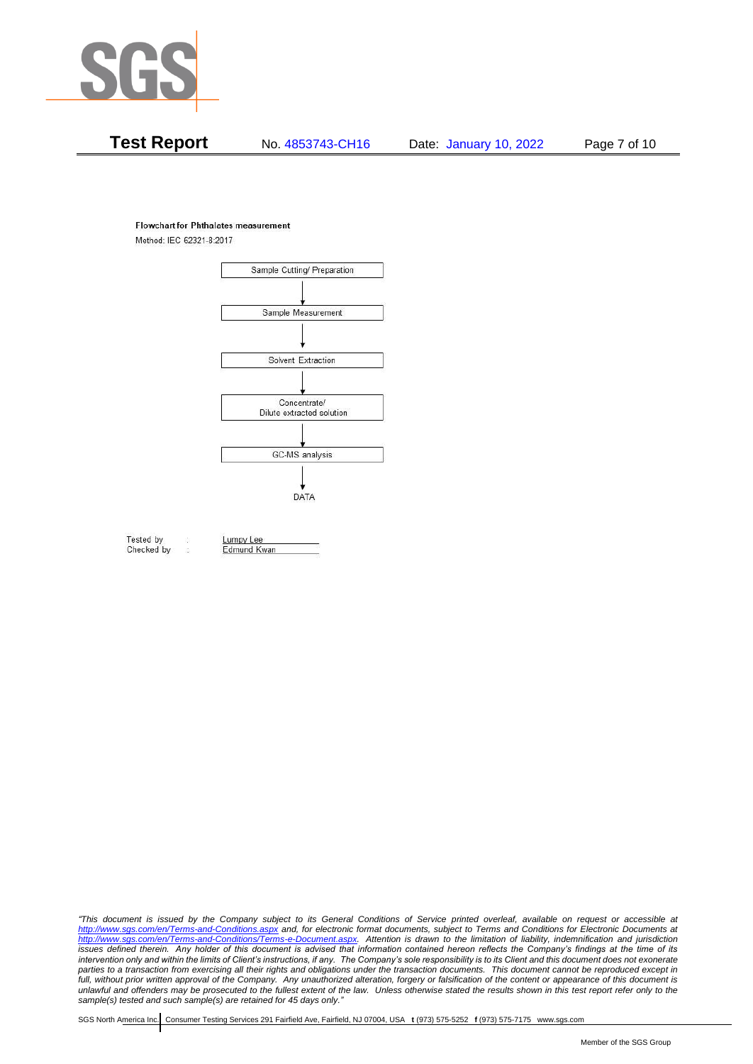

# **Test Report** No. 4853743-CH16 Date: January 10, 2022 Page 7 of 10

#### **Flowchart for Phthalates measurement**

Method: IEC 62321-8:2017



Tested by Checked by Lumpy Lee

Edmund Kwan

*"This document is issued by the Company subject to its General Conditions of Service printed overleaf, available on request or accessible at <http://www.sgs.com/en/Terms-and-Conditions.aspx> and, for electronic format documents, subject to Terms and Conditions for Electronic Documents at [http://www.sgs.com/en/Terms-and-Conditions/Terms-e-Document.aspx.](http://www.sgs.com/en/Terms-and-Conditions/Terms-e-Document.aspx) Attention is drawn to the limitation of liability, indemnification and jurisdiction issues defined therein. Any holder of this document is advised that information contained hereon reflects the Company's findings at the time of its intervention only and within the limits of Client's instructions, if any. The Company's sole responsibility is to its Client and this document does not exonerate*  parties to a transaction from exercising all their rights and obligations under the transaction documents. This document cannot be reproduced except in *full, without prior written approval of the Company. Any unauthorized alteration, forgery or falsification of the content or appearance of this document is unlawful and offenders may be prosecuted to the fullest extent of the law. Unless otherwise stated the results shown in this test report refer only to the sample(s) tested and such sample(s) are retained for 45 days only."*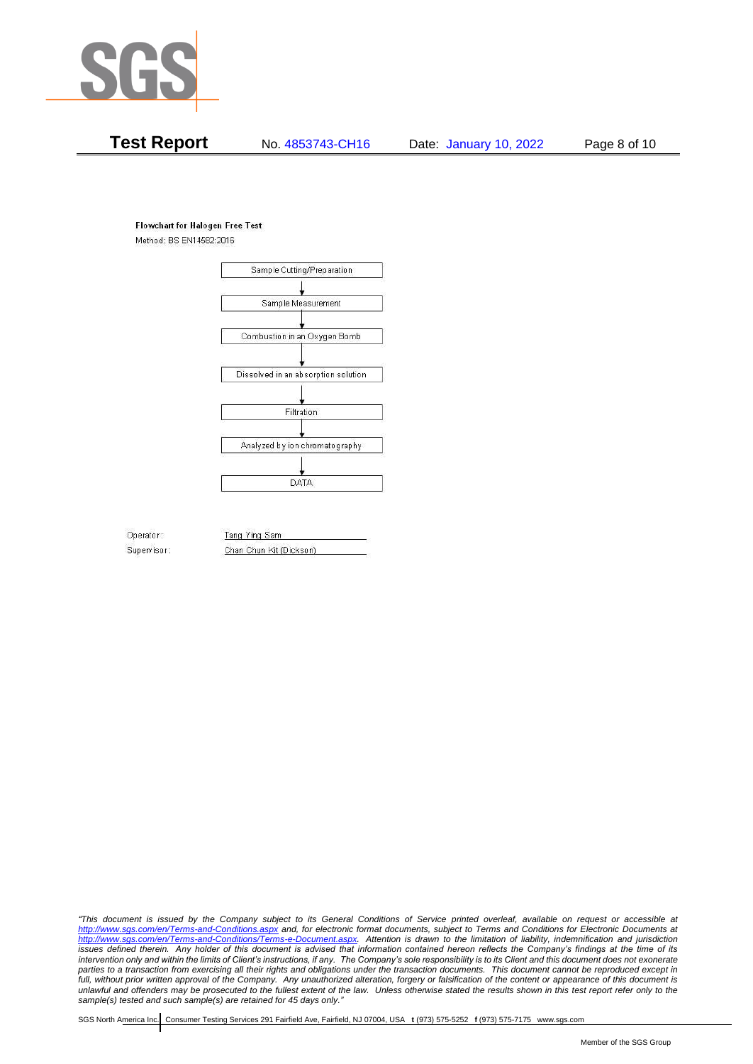

# **Test Report** No. 4853743-CH16 Date: January 10, 2022 Page 8 of 10

#### **Flowchart for Halogen Free Test**

Method: BS EN14582:2016



Operator: Supervisor: Tang Ying Sam Chan Chun Kit (Dickson)

*"This document is issued by the Company subject to its General Conditions of Service printed overleaf, available on request or accessible at <http://www.sgs.com/en/Terms-and-Conditions.aspx> and, for electronic format documents, subject to Terms and Conditions for Electronic Documents at [http://www.sgs.com/en/Terms-and-Conditions/Terms-e-Document.aspx.](http://www.sgs.com/en/Terms-and-Conditions/Terms-e-Document.aspx) Attention is drawn to the limitation of liability, indemnification and jurisdiction issues defined therein. Any holder of this document is advised that information contained hereon reflects the Company's findings at the time of its intervention only and within the limits of Client's instructions, if any. The Company's sole responsibility is to its Client and this document does not exonerate parties to a transaction from exercising all their rights and obligations under the transaction documents. This document cannot be reproduced except in full, without prior written approval of the Company. Any unauthorized alteration, forgery or falsification of the content or appearance of this document is unlawful and offenders may be prosecuted to the fullest extent of the law. Unless otherwise stated the results shown in this test report refer only to the sample(s) tested and such sample(s) are retained for 45 days only."*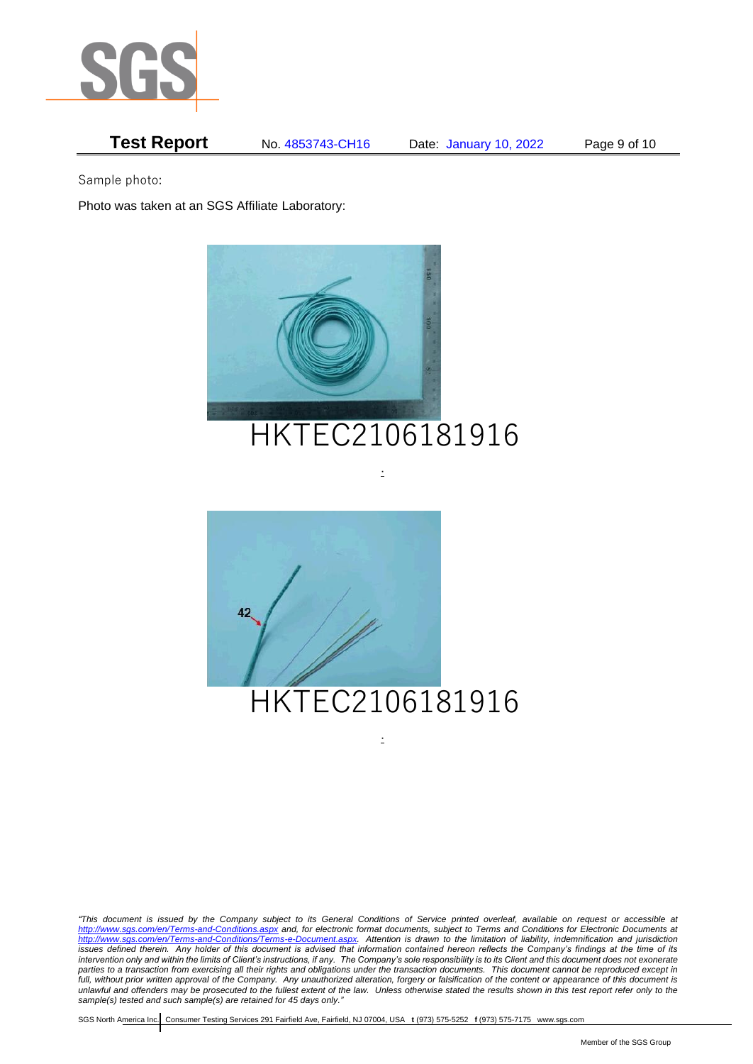

# **Test Report** No. 4853743-CH16 Date: January 10, 2022 Page 9 of 10

Sample photo:

Photo was taken at an SGS Affiliate Laboratory:





.

*"This document is issued by the Company subject to its General Conditions of Service printed overleaf, available on request or accessible at <http://www.sgs.com/en/Terms-and-Conditions.aspx> and, for electronic format documents, subject to Terms and Conditions for Electronic Documents at [http://www.sgs.com/en/Terms-and-Conditions/Terms-e-Document.aspx.](http://www.sgs.com/en/Terms-and-Conditions/Terms-e-Document.aspx) Attention is drawn to the limitation of liability, indemnification and jurisdiction issues defined therein. Any holder of this document is advised that information contained hereon reflects the Company's findings at the time of its intervention only and within the limits of Client's instructions, if any. The Company's sole responsibility is to its Client and this document does not exonerate*  parties to a transaction from exercising all their rights and obligations under the transaction documents. This document cannot be reproduced except in *full, without prior written approval of the Company. Any unauthorized alteration, forgery or falsification of the content or appearance of this document is unlawful and offenders may be prosecuted to the fullest extent of the law. Unless otherwise stated the results shown in this test report refer only to the sample(s) tested and such sample(s) are retained for 45 days only."* 

.